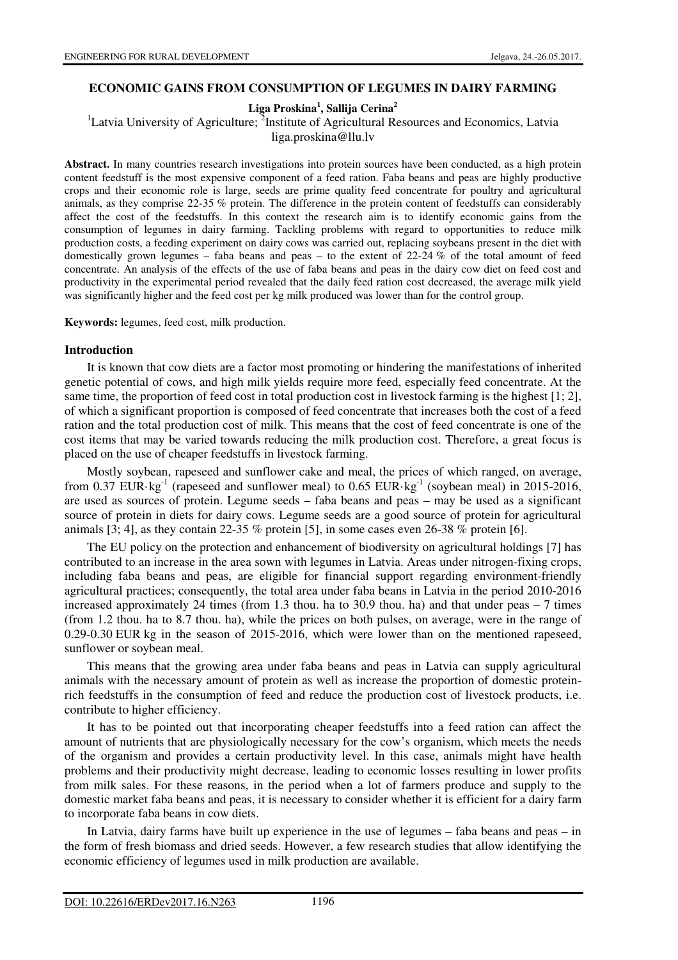## **ECONOMIC GAINS FROM CONSUMPTION OF LEGUMES IN DAIRY FARMING**

**Liga Proskina<sup>1</sup> , Sallija Cerina<sup>2</sup>**

<sup>1</sup>Latvia University of Agriculture; <sup>2</sup>Institute of Agricultural Resources and Economics, Latvia

liga.proskina@llu.lv

**Abstract.** In many countries research investigations into protein sources have been conducted, as a high protein content feedstuff is the most expensive component of a feed ration. Faba beans and peas are highly productive crops and their economic role is large, seeds are prime quality feed concentrate for poultry and agricultural animals, as they comprise 22-35 % protein. The difference in the protein content of feedstuffs can considerably affect the cost of the feedstuffs. In this context the research aim is to identify economic gains from the consumption of legumes in dairy farming. Tackling problems with regard to opportunities to reduce milk production costs, a feeding experiment on dairy cows was carried out, replacing soybeans present in the diet with domestically grown legumes – faba beans and peas – to the extent of  $22-24\%$  of the total amount of feed concentrate. An analysis of the effects of the use of faba beans and peas in the dairy cow diet on feed cost and productivity in the experimental period revealed that the daily feed ration cost decreased, the average milk yield was significantly higher and the feed cost per kg milk produced was lower than for the control group.

**Keywords:** legumes, feed cost, milk production.

### **Introduction**

It is known that cow diets are a factor most promoting or hindering the manifestations of inherited genetic potential of cows, and high milk yields require more feed, especially feed concentrate. At the same time, the proportion of feed cost in total production cost in livestock farming is the highest [1; 2], of which a significant proportion is composed of feed concentrate that increases both the cost of a feed ration and the total production cost of milk. This means that the cost of feed concentrate is one of the cost items that may be varied towards reducing the milk production cost. Therefore, a great focus is placed on the use of cheaper feedstuffs in livestock farming.

Mostly soybean, rapeseed and sunflower cake and meal, the prices of which ranged, on average, from 0.37 EUR·kg<sup>-1</sup> (rapeseed and sunflower meal) to 0.65 EUR·kg<sup>-1</sup> (soybean meal) in 2015-2016, are used as sources of protein. Legume seeds – faba beans and peas – may be used as a significant source of protein in diets for dairy cows. Legume seeds are a good source of protein for agricultural animals  $[3, 4]$ , as they contain 22-35 % protein  $[5]$ , in some cases even 26-38 % protein  $[6]$ .

The EU policy on the protection and enhancement of biodiversity on agricultural holdings [7] has contributed to an increase in the area sown with legumes in Latvia. Areas under nitrogen-fixing crops, including faba beans and peas, are eligible for financial support regarding environment-friendly agricultural practices; consequently, the total area under faba beans in Latvia in the period 2010-2016 increased approximately 24 times (from 1.3 thou. ha to 30.9 thou. ha) and that under peas  $-7$  times (from 1.2 thou. ha to 8.7 thou. ha), while the prices on both pulses, on average, were in the range of 0.29-0.30 EUR kg in the season of 2015-2016, which were lower than on the mentioned rapeseed, sunflower or soybean meal.

This means that the growing area under faba beans and peas in Latvia can supply agricultural animals with the necessary amount of protein as well as increase the proportion of domestic proteinrich feedstuffs in the consumption of feed and reduce the production cost of livestock products, i.e. contribute to higher efficiency.

It has to be pointed out that incorporating cheaper feedstuffs into a feed ration can affect the amount of nutrients that are physiologically necessary for the cow's organism, which meets the needs of the organism and provides a certain productivity level. In this case, animals might have health problems and their productivity might decrease, leading to economic losses resulting in lower profits from milk sales. For these reasons, in the period when a lot of farmers produce and supply to the domestic market faba beans and peas, it is necessary to consider whether it is efficient for a dairy farm to incorporate faba beans in cow diets.

In Latvia, dairy farms have built up experience in the use of legumes – faba beans and peas – in the form of fresh biomass and dried seeds. However, a few research studies that allow identifying the economic efficiency of legumes used in milk production are available.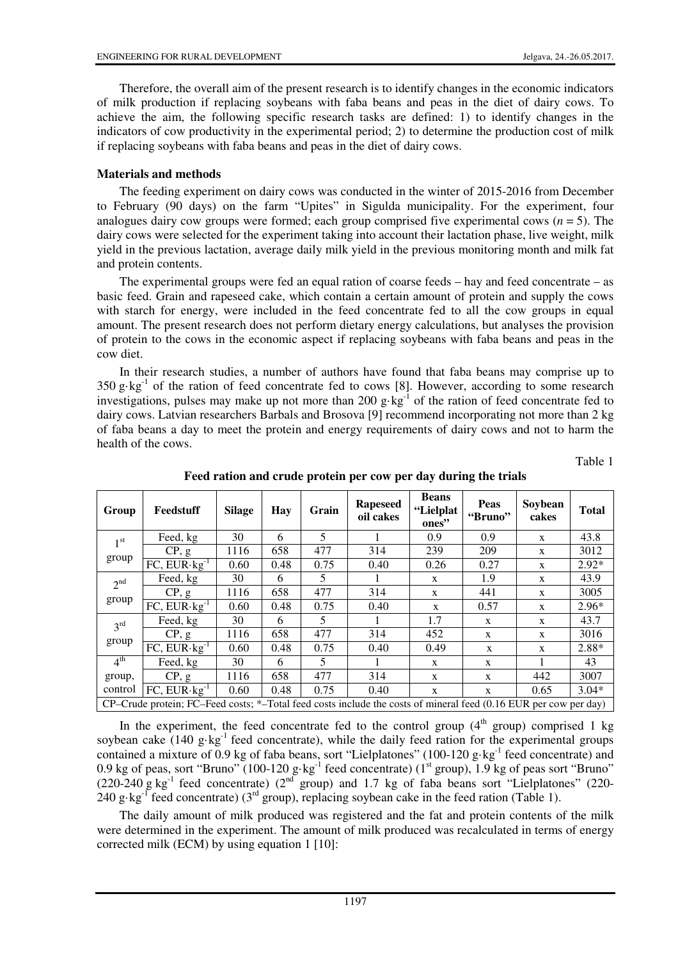Therefore, the overall aim of the present research is to identify changes in the economic indicators of milk production if replacing soybeans with faba beans and peas in the diet of dairy cows. To achieve the aim, the following specific research tasks are defined: 1) to identify changes in the indicators of cow productivity in the experimental period; 2) to determine the production cost of milk if replacing soybeans with faba beans and peas in the diet of dairy cows.

## **Materials and methods**

The feeding experiment on dairy cows was conducted in the winter of 2015-2016 from December to February (90 days) on the farm "Upites" in Sigulda municipality. For the experiment, four analogues dairy cow groups were formed; each group comprised five experimental cows  $(n = 5)$ . The dairy cows were selected for the experiment taking into account their lactation phase, live weight, milk yield in the previous lactation, average daily milk yield in the previous monitoring month and milk fat and protein contents.

The experimental groups were fed an equal ration of coarse feeds – hay and feed concentrate – as basic feed. Grain and rapeseed cake, which contain a certain amount of protein and supply the cows with starch for energy, were included in the feed concentrate fed to all the cow groups in equal amount. The present research does not perform dietary energy calculations, but analyses the provision of protein to the cows in the economic aspect if replacing soybeans with faba beans and peas in the cow diet.

In their research studies, a number of authors have found that faba beans may comprise up to  $350 \text{ g} \cdot \text{kg}^{-1}$  of the ration of feed concentrate fed to cows [8]. However, according to some research investigations, pulses may make up not more than 200 g·kg<sup>-1</sup> of the ration of feed concentrate fed to dairy cows. Latvian researchers Barbals and Brosova [9] recommend incorporating not more than 2 kg of faba beans a day to meet the protein and energy requirements of dairy cows and not to harm the health of the cows.

Table 1

| Group                                                                                                                 | Feedstuff               | <b>Silage</b> | Hay  | Grain | <b>Rapeseed</b><br>oil cakes | <b>Beans</b><br>"Lielplat<br>ones" | Peas<br>"Bruno" | Soybean<br>cakes | <b>Total</b> |
|-----------------------------------------------------------------------------------------------------------------------|-------------------------|---------------|------|-------|------------------------------|------------------------------------|-----------------|------------------|--------------|
| 1 <sup>st</sup><br>group                                                                                              | Feed, kg                | 30            | 6    | 5     |                              | 0.9                                | 0.9             | X                | 43.8         |
|                                                                                                                       | CP, g                   | 1116          | 658  | 477   | 314                          | 239                                | 209             | X                | 3012         |
|                                                                                                                       | $FC, EUR \cdot kg^{-1}$ | 0.60          | 0.48 | 0.75  | 0.40                         | 0.26                               | 0.27            | X                | $2.92*$      |
| 2 <sup>nd</sup><br>group                                                                                              | Feed, kg                | 30            | 6    | 5     |                              | X                                  | 1.9             | X                | 43.9         |
|                                                                                                                       | CP, g                   | 1116          | 658  | 477   | 314                          | X                                  | 441             | X                | 3005         |
|                                                                                                                       | $FC, EUR \cdot kg^{-1}$ | 0.60          | 0.48 | 0.75  | 0.40                         | $\mathbf{x}$                       | 0.57            | X                | $2.96*$      |
| $3^{\text{rd}}$<br>group                                                                                              | Feed, kg                | 30            | 6    | 5     | 1                            | 1.7                                | X               | X                | 43.7         |
|                                                                                                                       | CP, g                   | 1116          | 658  | 477   | 314                          | 452                                | $\mathbf{x}$    | X                | 3016         |
|                                                                                                                       | FC, $EUR \cdot kg^{-1}$ | 0.60          | 0.48 | 0.75  | 0.40                         | 0.49                               | X               | X                | 2.88*        |
| 4 <sup>th</sup>                                                                                                       | Feed, kg                | 30            | 6    | 5     | 1                            | $\mathbf{x}$                       | $\mathbf{x}$    | 1                | 43           |
| group,                                                                                                                | CP, g                   | 1116          | 658  | 477   | 314                          | X                                  | X               | 442              | 3007         |
| control                                                                                                               | FC, $EUR \cdot kg^{-1}$ | 0.60          | 0.48 | 0.75  | 0.40                         | X                                  | X               | 0.65             | $3.04*$      |
| $CP$ –Crude protein; FC–Feed costs; *–Total feed costs include the costs of mineral feed $(0.16$ EUR per cow per day) |                         |               |      |       |                              |                                    |                 |                  |              |

**Feed ration and crude protein per cow per day during the trials** 

In the experiment, the feed concentrate fed to the control group  $(4<sup>th</sup>$  group) comprised 1 kg soybean cake  $(140 \text{ g} \cdot \text{kg}^{-1})$  feed concentrate), while the daily feed ration for the experimental groups contained a mixture of 0.9 kg of faba beans, sort "Lielplatones" (100-120 g·kg<sup>-1</sup> feed concentrate) and 0.9 kg of peas, sort "Bruno" (100-120 g·kg<sup>-1</sup> feed concentrate) ( $1<sup>st</sup>$  group), 1.9 kg of peas sort "Bruno" (220-240 g kg<sup>-1</sup> feed concentrate) (2<sup>nd</sup> group) and 1.7 kg of faba beans sort "Lielplatones" (220-240 g·kg<sup>-1</sup> feed concentrate) (3<sup>rd</sup> group), replacing soybean cake in the feed ration (Table 1).

The daily amount of milk produced was registered and the fat and protein contents of the milk were determined in the experiment. The amount of milk produced was recalculated in terms of energy corrected milk (ECM) by using equation 1 [10]: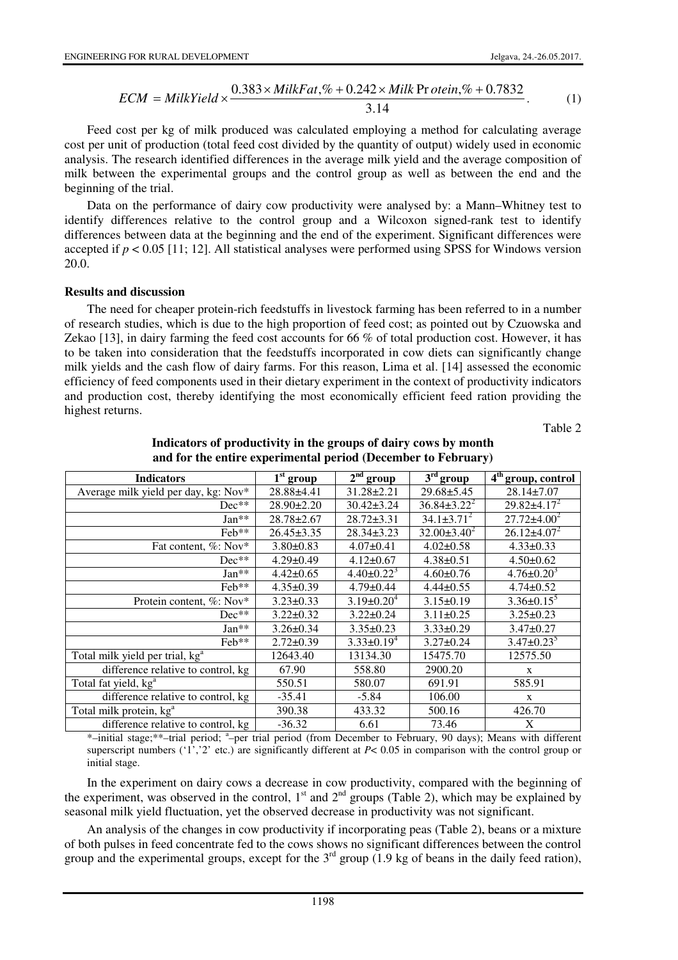$$
ECM = MilkYield \times \frac{0.383 \times MilkFat\mathcal{R} + 0.242 \times Milk\Pr{otein\mathcal{R} + 0.7832}}{3.14}.
$$
 (1)

Feed cost per kg of milk produced was calculated employing a method for calculating average cost per unit of production (total feed cost divided by the quantity of output) widely used in economic analysis. The research identified differences in the average milk yield and the average composition of milk between the experimental groups and the control group as well as between the end and the beginning of the trial.

Data on the performance of dairy cow productivity were analysed by: a Mann–Whitney test to identify differences relative to the control group and a Wilcoxon signed-rank test to identify differences between data at the beginning and the end of the experiment. Significant differences were accepted if  $p < 0.05$  [11; 12]. All statistical analyses were performed using SPSS for Windows version 20.0.

#### **Results and discussion**

The need for cheaper protein-rich feedstuffs in livestock farming has been referred to in a number of research studies, which is due to the high proportion of feed cost; as pointed out by Czuowska and Zekao [13], in dairy farming the feed cost accounts for 66 % of total production cost. However, it has to be taken into consideration that the feedstuffs incorporated in cow diets can significantly change milk yields and the cash flow of dairy farms. For this reason, Lima et al. [14] assessed the economic efficiency of feed components used in their dietary experiment in the context of productivity indicators and production cost, thereby identifying the most economically efficient feed ration providing the highest returns.

Table 2

| <b>Indicators</b>                           | $1st$ group      | $2nd$ group       | $3rd$ group       | 4 <sup>th</sup> group, control |
|---------------------------------------------|------------------|-------------------|-------------------|--------------------------------|
| Average milk yield per day, kg: Nov*        | 28.88±4.41       | 31.28±2.21        | $29.68 \pm 5.45$  | $28.14 \pm 7.07$               |
| $Dec**$                                     | $28.90 \pm 2.20$ | $30.42 \pm 3.24$  | $36.84\pm3.22^2$  | $29.82 \pm 4.17^2$             |
| $Jan**$                                     | 28.78±2.67       | $28.72 \pm 3.31$  | $34.1 \pm 3.71^2$ | $27.72 \pm 4.00^2$             |
| Feb**                                       | $26.45 \pm 3.35$ | $28.34 \pm 3.23$  | $32.00\pm3.40^2$  | $26.12\pm4.07^2$               |
| Fat content, %: Nov*                        | $3.80 \pm 0.83$  | $4.07 \pm 0.41$   | $4.02 \pm 0.58$   | $4.33 \pm 0.33$                |
| $Dec**$                                     | $4.29 \pm 0.49$  | $4.12 \pm 0.67$   | $4.38 \pm 0.51$   | $4.50 \pm 0.62$                |
| $Jan**$                                     | $4.42 \pm 0.65$  | $4.40 \pm 0.22^3$ | $4.60 \pm 0.76$   | $4.76 \pm 0.20^3$              |
| Feb**                                       | $4.35 \pm 0.39$  | $4.79 \pm 0.44$   | $4.44\pm0.55$     | $4.74 \pm 0.52$                |
| Protein content, %: Nov*                    | $3.23 \pm 0.33$  | $3.19\pm0.20^4$   | $3.15 \pm 0.19$   | $3.36 \pm 0.15^5$              |
| $Dec**$                                     | $3.22 \pm 0.32$  | $3.22 \pm 0.24$   | $3.11 \pm 0.25$   | $3.25 \pm 0.23$                |
| $Jan**$                                     | $3.26 \pm 0.34$  | $3.35 \pm 0.23$   | $3.33 \pm 0.29$   | $3.47 \pm 0.27$                |
| Feb**                                       | $2.72 \pm 0.39$  | $3.33\pm0.19^4$   | $3.27 \pm 0.24$   | $3.47 \pm 0.23$ <sup>3</sup>   |
| Total milk yield per trial, kg <sup>a</sup> | 12643.40         | 13134.30          | 15475.70          | 12575.50                       |
| difference relative to control, kg          | 67.90            | 558.80            | 2900.20           | X                              |
| Total fat yield, kg <sup>a</sup>            | 550.51           | 580.07            | 691.91            | 585.91                         |
| difference relative to control, kg          | $-35.41$         | $-5.84$           | 106.00            | X                              |
| Total milk protein, kg <sup>a</sup>         | 390.38           | 433.32            | 500.16            | 426.70                         |
| difference relative to control, kg          | $-36.32$         | 6.61              | 73.46             | X                              |

**Indicators of productivity in the groups of dairy cows by month and for the entire experimental period (December to February)** 

\*-initial stage; \*\*-trial period; <sup>a</sup>-per trial period (from December to February, 90 days); Means with different superscript numbers ('1','2' etc.) are significantly different at *P*< 0.05 in comparison with the control group or initial stage.

In the experiment on dairy cows a decrease in cow productivity, compared with the beginning of the experiment, was observed in the control,  $1<sup>st</sup>$  and  $2<sup>nd</sup>$  groups (Table 2), which may be explained by seasonal milk yield fluctuation, yet the observed decrease in productivity was not significant.

An analysis of the changes in cow productivity if incorporating peas (Table 2), beans or a mixture of both pulses in feed concentrate fed to the cows shows no significant differences between the control group and the experimental groups, except for the  $3<sup>rd</sup>$  group (1.9 kg of beans in the daily feed ration),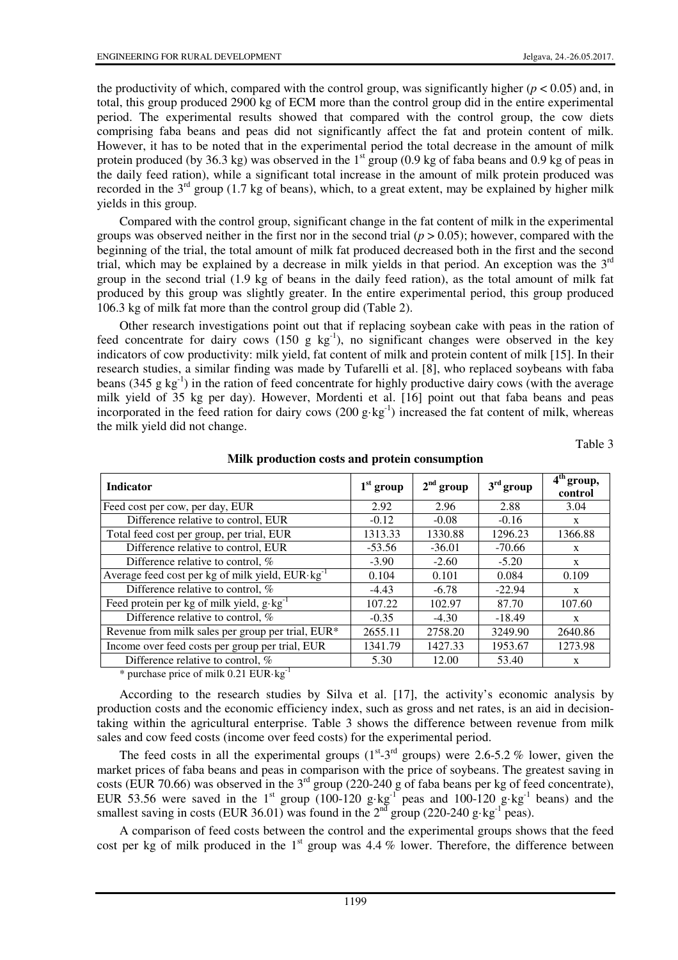the productivity of which, compared with the control group, was significantly higher  $(p < 0.05)$  and, in total, this group produced 2900 kg of ECM more than the control group did in the entire experimental period. The experimental results showed that compared with the control group, the cow diets comprising faba beans and peas did not significantly affect the fat and protein content of milk. However, it has to be noted that in the experimental period the total decrease in the amount of milk protein produced (by 36.3 kg) was observed in the 1<sup>st</sup> group (0.9 kg of faba beans and 0.9 kg of peas in the daily feed ration), while a significant total increase in the amount of milk protein produced was recorded in the  $3^{rd}$  group (1.7 kg of beans), which, to a great extent, may be explained by higher milk yields in this group.

Compared with the control group, significant change in the fat content of milk in the experimental groups was observed neither in the first nor in the second trial  $(p > 0.05)$ ; however, compared with the beginning of the trial, the total amount of milk fat produced decreased both in the first and the second trial, which may be explained by a decrease in milk yields in that period. An exception was the  $3<sup>rd</sup>$ group in the second trial (1.9 kg of beans in the daily feed ration), as the total amount of milk fat produced by this group was slightly greater. In the entire experimental period, this group produced 106.3 kg of milk fat more than the control group did (Table 2).

Other research investigations point out that if replacing soybean cake with peas in the ration of feed concentrate for dairy cows  $(150 \text{ g kg}^{-1})$ , no significant changes were observed in the key indicators of cow productivity: milk yield, fat content of milk and protein content of milk [15]. In their research studies, a similar finding was made by Tufarelli et al. [8], who replaced soybeans with faba beans (345 g kg<sup>-1</sup>) in the ration of feed concentrate for highly productive dairy cows (with the average milk yield of 35 kg per day). However, Mordenti et al. [16] point out that faba beans and peas incorporated in the feed ration for dairy cows  $(200 \text{ g} \cdot \text{kg}^{-1})$  increased the fat content of milk, whereas the milk yield did not change.

Table 3

| <b>Indicator</b>                                            | $1st$ group | $2nd$ group | $3rd$ group | $4th$ group,<br>control |
|-------------------------------------------------------------|-------------|-------------|-------------|-------------------------|
| Feed cost per cow, per day, EUR                             | 2.92        | 2.96        | 2.88        | 3.04                    |
| Difference relative to control, EUR                         | $-0.12$     | $-0.08$     | $-0.16$     | X                       |
| Total feed cost per group, per trial, EUR                   | 1313.33     | 1330.88     | 1296.23     | 1366.88                 |
| Difference relative to control, EUR                         | $-53.56$    | $-36.01$    | $-70.66$    | X                       |
| Difference relative to control, %                           | $-3.90$     | $-2.60$     | $-5.20$     | $\mathbf{x}$            |
| Average feed cost per kg of milk yield, $EUR \cdot kg^{-1}$ | 0.104       | 0.101       | 0.084       | 0.109                   |
| Difference relative to control, %                           | $-4.43$     | $-6.78$     | $-22.94$    | X                       |
| Feed protein per kg of milk yield, $g \cdot kg^{-1}$        | 107.22      | 102.97      | 87.70       | 107.60                  |
| Difference relative to control, %                           | $-0.35$     | $-4.30$     | $-18.49$    | X                       |
| Revenue from milk sales per group per trial, EUR*           | 2655.11     | 2758.20     | 3249.90     | 2640.86                 |
| Income over feed costs per group per trial, EUR             | 1341.79     | 1427.33     | 1953.67     | 1273.98                 |
| Difference relative to control, %                           | 5.30        | 12.00       | 53.40       | X                       |

**Milk production costs and protein consumption** 

\* purchase price of milk 0.21 EUR·kg-1

According to the research studies by Silva et al. [17], the activity's economic analysis by production costs and the economic efficiency index, such as gross and net rates, is an aid in decisiontaking within the agricultural enterprise. Table 3 shows the difference between revenue from milk sales and cow feed costs (income over feed costs) for the experimental period.

The feed costs in all the experimental groups  $(1^{st}-3^{rd}$  groups) were 2.6-5.2 % lower, given the market prices of faba beans and peas in comparison with the price of soybeans. The greatest saving in costs (EUR 70.66) was observed in the 3<sup>rd</sup> group (220-240 g of faba beans per kg of feed concentrate), EUR 53.56 were saved in the 1<sup>st</sup> group (100-120 g·kg<sup>-1</sup> peas and 100-120 g·kg<sup>-1</sup> beans) and the smallest saving in costs (EUR 36.01) was found in the  $2<sup>nd</sup>$  group (220-240 g·kg<sup>-1</sup> peas).

A comparison of feed costs between the control and the experimental groups shows that the feed cost per kg of milk produced in the  $1<sup>st</sup>$  group was 4.4 % lower. Therefore, the difference between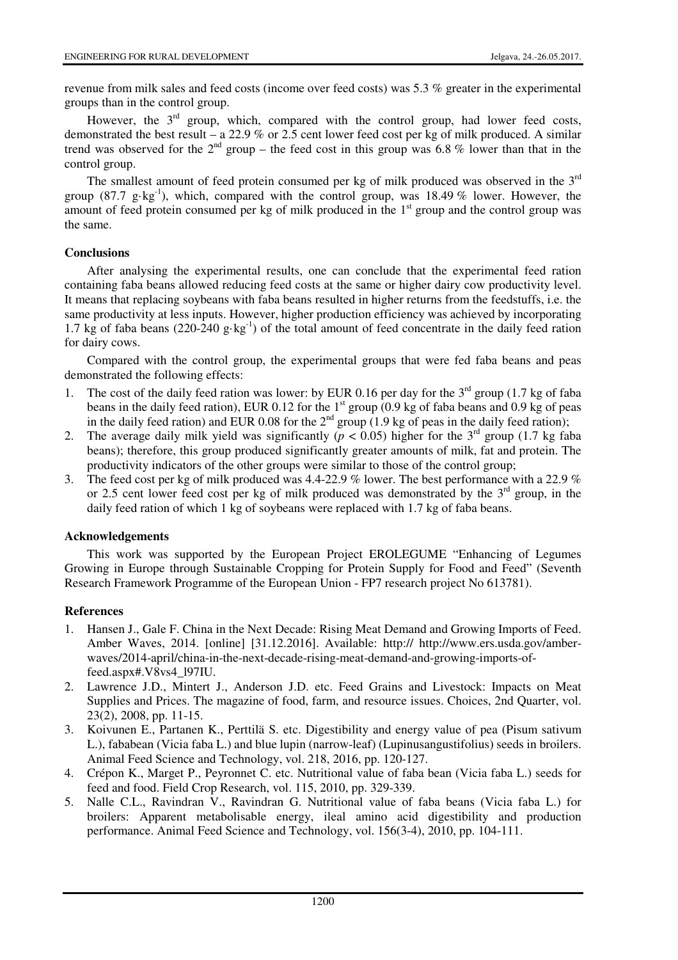revenue from milk sales and feed costs (income over feed costs) was 5.3 % greater in the experimental groups than in the control group.

However, the  $3<sup>rd</sup>$  group, which, compared with the control group, had lower feed costs, demonstrated the best result – a 22.9 % or 2.5 cent lower feed cost per kg of milk produced. A similar trend was observed for the  $2^{nd}$  group – the feed cost in this group was 6.8 % lower than that in the control group.

The smallest amount of feed protein consumed per kg of milk produced was observed in the 3<sup>rd</sup> group (87.7 g·kg<sup>-1</sup>), which, compared with the control group, was 18.49 % lower. However, the amount of feed protein consumed per kg of milk produced in the  $1<sup>st</sup>$  group and the control group was the same.

# **Conclusions**

After analysing the experimental results, one can conclude that the experimental feed ration containing faba beans allowed reducing feed costs at the same or higher dairy cow productivity level. It means that replacing soybeans with faba beans resulted in higher returns from the feedstuffs, i.e. the same productivity at less inputs. However, higher production efficiency was achieved by incorporating 1.7 kg of faba beans  $(220-240 \text{ g} \cdot \text{kg}^{-1})$  of the total amount of feed concentrate in the daily feed ration for dairy cows.

Compared with the control group, the experimental groups that were fed faba beans and peas demonstrated the following effects:

- 1. The cost of the daily feed ration was lower: by EUR 0.16 per day for the  $3<sup>rd</sup>$  group (1.7 kg of faba beans in the daily feed ration), EUR 0.12 for the  $1^{st}$  group (0.9 kg of faba beans and 0.9 kg of peas in the daily feed ration) and EUR 0.08 for the  $2<sup>nd</sup>$  group (1.9 kg of peas in the daily feed ration);
- 2. The average daily milk yield was significantly ( $p < 0.05$ ) higher for the 3<sup>rd</sup> group (1.7 kg faba beans); therefore, this group produced significantly greater amounts of milk, fat and protein. The productivity indicators of the other groups were similar to those of the control group;
- 3. The feed cost per kg of milk produced was 4.4-22.9 % lower. The best performance with a 22.9 % or 2.5 cent lower feed cost per kg of milk produced was demonstrated by the  $3<sup>rd</sup>$  group, in the daily feed ration of which 1 kg of soybeans were replaced with 1.7 kg of faba beans.

### **Acknowledgements**

This work was supported by the European Project EROLEGUME "Enhancing of Legumes Growing in Europe through Sustainable Cropping for Protein Supply for Food and Feed" (Seventh Research Framework Programme of the European Union - FP7 research project No 613781).

# **References**

- 1. Hansen J., Gale F. China in the Next Decade: Rising Meat Demand and Growing Imports of Feed. Amber Waves, 2014. [online] [31.12.2016]. Available: http:// http://www.ers.usda.gov/amberwaves/2014-april/china-in-the-next-decade-rising-meat-demand-and-growing-imports-offeed.aspx#.V8vs4\_l97IU.
- 2. Lawrence J.D., Mintert J., Anderson J.D. etc. Feed Grains and Livestock: Impacts on Meat Supplies and Prices. The magazine of food, farm, and resource issues. Choices, 2nd Quarter, vol. 23(2), 2008, pp. 11-15.
- 3. Koivunen E., Partanen K., Perttilä S. etc. Digestibility and energy value of pea (Pisum sativum L.), fababean (Vicia faba L.) and blue lupin (narrow-leaf) (Lupinusangustifolius) seeds in broilers. Animal Feed Science and Technology, vol. 218, 2016, pp. 120-127.
- 4. Crépon K., Marget P., Peyronnet C. etc. Nutritional value of faba bean (Vicia faba L.) seeds for feed and food. Field Crop Research, vol. 115, 2010, pp. 329-339.
- 5. Nalle C.L., Ravindran V., Ravindran G. Nutritional value of faba beans (Vicia faba L.) for broilers: Apparent metabolisable energy, ileal amino acid digestibility and production performance. Animal Feed Science and Technology, vol. 156(3-4), 2010, pp. 104-111.